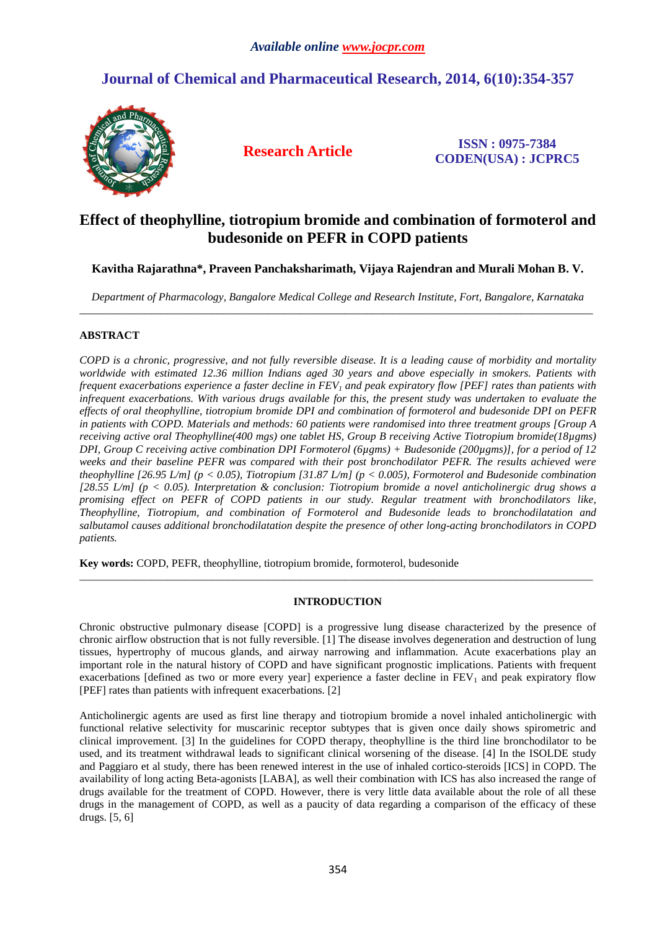# **Journal of Chemical and Pharmaceutical Research, 2014, 6(10):354-357**



**Research Article ISSN : 0975-7384 CODEN(USA) : JCPRC5**

## **Effect of theophylline, tiotropium bromide and combination of formoterol and budesonide on PEFR in COPD patients**

## **Kavitha Rajarathna\*, Praveen Panchaksharimath, Vijaya Rajendran and Murali Mohan B. V.**

*Department of Pharmacology, Bangalore Medical College and Research Institute, Fort, Bangalore, Karnataka*  \_\_\_\_\_\_\_\_\_\_\_\_\_\_\_\_\_\_\_\_\_\_\_\_\_\_\_\_\_\_\_\_\_\_\_\_\_\_\_\_\_\_\_\_\_\_\_\_\_\_\_\_\_\_\_\_\_\_\_\_\_\_\_\_\_\_\_\_\_\_\_\_\_\_\_\_\_\_\_\_\_\_\_\_\_\_\_\_\_\_\_\_\_

## **ABSTRACT**

*COPD is a chronic, progressive, and not fully reversible disease. It is a leading cause of morbidity and mortality worldwide with estimated 12.36 million Indians aged 30 years and above especially in smokers. Patients with frequent exacerbations experience a faster decline in FEV1 and peak expiratory flow [PEF] rates than patients with infrequent exacerbations. With various drugs available for this, the present study was undertaken to evaluate the effects of oral theophylline, tiotropium bromide DPI and combination of formoterol and budesonide DPI on PEFR in patients with COPD. Materials and methods: 60 patients were randomised into three treatment groups [Group A receiving active oral Theophylline(400 mgs) one tablet HS, Group B receiving Active Tiotropium bromide(18µgms) DPI, Group C receiving active combination DPI Formoterol (6µgms) + Budesonide (200µgms)], for a period of 12 weeks and their baseline PEFR was compared with their post bronchodilator PEFR. The results achieved were theophylline [26.95 L/m] (p < 0.05), Tiotropium [31.87 L/m] (p < 0.005), Formoterol and Budesonide combination [28.55 L/m] (p < 0.05). Interpretation & conclusion: Tiotropium bromide a novel anticholinergic drug shows a promising effect on PEFR of COPD patients in our study. Regular treatment with bronchodilators like, Theophylline, Tiotropium, and combination of Formoterol and Budesonide leads to bronchodilatation and salbutamol causes additional bronchodilatation despite the presence of other long-acting bronchodilators in COPD patients.* 

**Key words:** COPD, PEFR, theophylline, tiotropium bromide, formoterol, budesonide

## **INTRODUCTION**

\_\_\_\_\_\_\_\_\_\_\_\_\_\_\_\_\_\_\_\_\_\_\_\_\_\_\_\_\_\_\_\_\_\_\_\_\_\_\_\_\_\_\_\_\_\_\_\_\_\_\_\_\_\_\_\_\_\_\_\_\_\_\_\_\_\_\_\_\_\_\_\_\_\_\_\_\_\_\_\_\_\_\_\_\_\_\_\_\_\_\_\_\_

Chronic obstructive pulmonary disease [COPD] is a progressive lung disease characterized by the presence of chronic airflow obstruction that is not fully reversible. [1] The disease involves degeneration and destruction of lung tissues, hypertrophy of mucous glands, and airway narrowing and inflammation. Acute exacerbations play an important role in the natural history of COPD and have significant prognostic implications. Patients with frequent exacerbations [defined as two or more every year] experience a faster decline in  $FEV<sub>1</sub>$  and peak expiratory flow [PEF] rates than patients with infrequent exacerbations. [2]

Anticholinergic agents are used as first line therapy and tiotropium bromide a novel inhaled anticholinergic with functional relative selectivity for muscarinic receptor subtypes that is given once daily shows spirometric and clinical improvement. [3] In the guidelines for COPD therapy, theophylline is the third line bronchodilator to be used, and its treatment withdrawal leads to significant clinical worsening of the disease. [4] In the ISOLDE study and Paggiaro et al study, there has been renewed interest in the use of inhaled cortico-steroids [ICS] in COPD. The availability of long acting Beta-agonists [LABA], as well their combination with ICS has also increased the range of drugs available for the treatment of COPD. However, there is very little data available about the role of all these drugs in the management of COPD, as well as a paucity of data regarding a comparison of the efficacy of these drugs. [5, 6]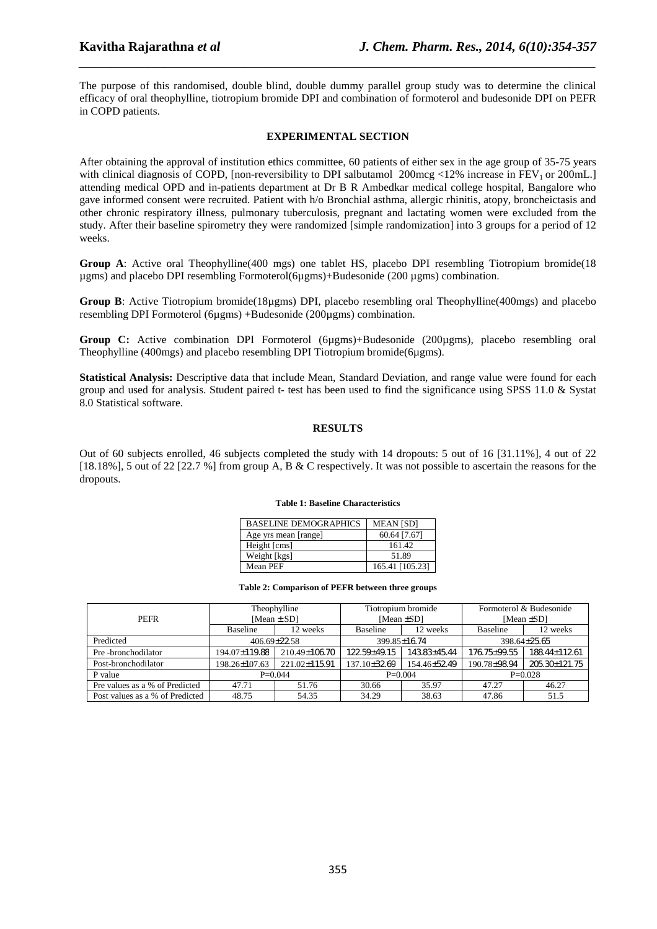The purpose of this randomised, double blind, double dummy parallel group study was to determine the clinical efficacy of oral theophylline, tiotropium bromide DPI and combination of formoterol and budesonide DPI on PEFR in COPD patients.

*\_\_\_\_\_\_\_\_\_\_\_\_\_\_\_\_\_\_\_\_\_\_\_\_\_\_\_\_\_\_\_\_\_\_\_\_\_\_\_\_\_\_\_\_\_\_\_\_\_\_\_\_\_\_\_\_\_\_\_\_\_\_\_\_\_\_\_\_\_\_\_\_\_\_\_\_\_\_*

## **EXPERIMENTAL SECTION**

After obtaining the approval of institution ethics committee, 60 patients of either sex in the age group of 35-75 years with clinical diagnosis of COPD, [non-reversibility to DPI salbutamol 200mcg <12% increase in  $FEV<sub>1</sub>$  or 200mL.] attending medical OPD and in-patients department at Dr B R Ambedkar medical college hospital, Bangalore who gave informed consent were recruited. Patient with h/o Bronchial asthma, allergic rhinitis, atopy, broncheictasis and other chronic respiratory illness, pulmonary tuberculosis, pregnant and lactating women were excluded from the study. After their baseline spirometry they were randomized [simple randomization] into 3 groups for a period of 12 weeks.

**Group A**: Active oral Theophylline(400 mgs) one tablet HS, placebo DPI resembling Tiotropium bromide(18 µgms) and placebo DPI resembling Formoterol(6µgms)+Budesonide (200 µgms) combination.

**Group B**: Active Tiotropium bromide(18µgms) DPI, placebo resembling oral Theophylline(400mgs) and placebo resembling DPI Formoterol (6µgms) +Budesonide (200µgms) combination.

**Group C:** Active combination DPI Formoterol (6µgms)+Budesonide (200µgms), placebo resembling oral Theophylline (400mgs) and placebo resembling DPI Tiotropium bromide(6µgms).

**Statistical Analysis:** Descriptive data that include Mean, Standard Deviation, and range value were found for each group and used for analysis. Student paired t- test has been used to find the significance using SPSS 11.0 & Systat 8.0 Statistical software.

#### **RESULTS**

Out of 60 subjects enrolled, 46 subjects completed the study with 14 dropouts: 5 out of 16 [31.11%], 4 out of 22 [18.18%], 5 out of 22 [22.7 %] from group A, B & C respectively. It was not possible to ascertain the reasons for the dropouts.

#### **Table 1: Baseline Characteristics**

| <b>BASELINE DEMOGRAPHICS</b> | <b>MEAN [SD]</b> |
|------------------------------|------------------|
| Age yrs mean [range]         | 60.64 [7.67]     |
| Height [cms]                 | 161.42           |
| Weight [kgs]                 | 51.89            |
| Mean PEF                     | 165.41 [105.23]  |

#### **Table 2: Comparison of PEFR between three groups**

|                                 | Theophylline       |               | Tiotropium bromide |              | Formoterol & Budesonide |               |
|---------------------------------|--------------------|---------------|--------------------|--------------|-------------------------|---------------|
| <b>PEFR</b>                     | [Mean $\pm$ SD]    |               | [Mean $\pm$ SD]    |              | [Mean $\pm SD$ ]        |               |
|                                 | <b>Baseline</b>    | 12 weeks      | <b>Baseline</b>    | 12 weeks     | Baseline                | 12 weeks      |
| Predicted                       | $406.69 \pm 22.58$ |               | 399.85±16.74       |              | 398.64±25.65            |               |
| Pre-bronchodilator              | 194.07±119.88      | 210.49±106.70 | 122.59+49.15       | 143.83+45.44 | 176.75 ± 99.55          | 188.44±112.61 |
| Post-bronchodilator             | 198.26±107.63      | 221.02±115.91 | 137.10±32.69       | 154.46±52.49 | 190.78±98.94            | 205.30±121.75 |
| P value                         | $P=0.044$          |               | $P=0.004$          |              | $P=0.028$               |               |
| Pre values as a % of Predicted  | 47.71              | 51.76         | 30.66              | 35.97        | 47.27                   | 46.27         |
| Post values as a % of Predicted | 48.75              | 54.35         | 34.29              | 38.63        | 47.86                   | 51.5          |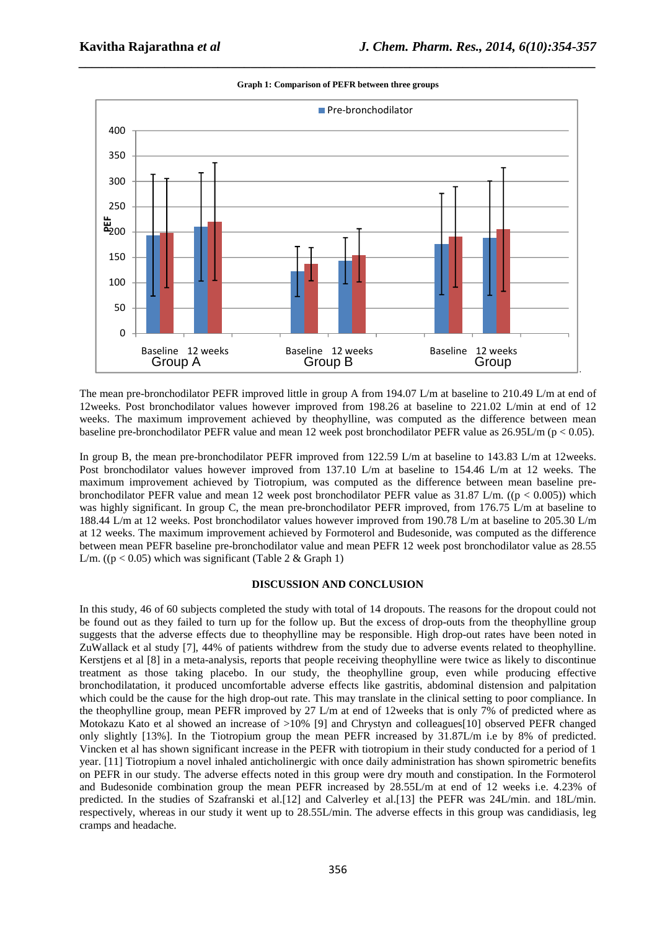

*\_\_\_\_\_\_\_\_\_\_\_\_\_\_\_\_\_\_\_\_\_\_\_\_\_\_\_\_\_\_\_\_\_\_\_\_\_\_\_\_\_\_\_\_\_\_\_\_\_\_\_\_\_\_\_\_\_\_\_\_\_\_\_\_\_\_\_\_\_\_\_\_\_\_\_\_\_\_* **Graph 1: Comparison of PEFR between three groups** 

The mean pre-bronchodilator PEFR improved little in group A from 194.07 L/m at baseline to 210.49 L/m at end of 12weeks. Post bronchodilator values however improved from 198.26 at baseline to 221.02 L/min at end of 12 weeks. The maximum improvement achieved by theophylline, was computed as the difference between mean baseline pre-bronchodilator PEFR value and mean 12 week post bronchodilator PEFR value as 26.95L/m (p < 0.05).

In group B, the mean pre-bronchodilator PEFR improved from 122.59 L/m at baseline to 143.83 L/m at 12weeks. Post bronchodilator values however improved from 137.10 L/m at baseline to 154.46 L/m at 12 weeks. The maximum improvement achieved by Tiotropium, was computed as the difference between mean baseline prebronchodilator PEFR value and mean 12 week post bronchodilator PEFR value as  $31.87 \text{ L/m}$ . ((p < 0.005)) which was highly significant. In group C, the mean pre-bronchodilator PEFR improved, from 176.75 L/m at baseline to 188.44 L/m at 12 weeks. Post bronchodilator values however improved from 190.78 L/m at baseline to 205.30 L/m at 12 weeks. The maximum improvement achieved by Formoterol and Budesonide, was computed as the difference between mean PEFR baseline pre-bronchodilator value and mean PEFR 12 week post bronchodilator value as 28.55 L/m. (( $p < 0.05$ ) which was significant (Table 2 & Graph 1)

#### **DISCUSSION AND CONCLUSION**

In this study, 46 of 60 subjects completed the study with total of 14 dropouts. The reasons for the dropout could not be found out as they failed to turn up for the follow up. But the excess of drop-outs from the theophylline group suggests that the adverse effects due to theophylline may be responsible. High drop-out rates have been noted in ZuWallack et al study [7], 44% of patients withdrew from the study due to adverse events related to theophylline. Kerstiens et al [8] in a meta-analysis, reports that people receiving theophylline were twice as likely to discontinue treatment as those taking placebo. In our study, the theophylline group, even while producing effective bronchodilatation, it produced uncomfortable adverse effects like gastritis, abdominal distension and palpitation which could be the cause for the high drop-out rate. This may translate in the clinical setting to poor compliance. In the theophylline group, mean PEFR improved by 27 L/m at end of 12weeks that is only 7% of predicted where as Motokazu Kato et al showed an increase of >10% [9] and Chrystyn and colleagues[10] observed PEFR changed only slightly [13%]. In the Tiotropium group the mean PEFR increased by 31.87L/m i.e by 8% of predicted. Vincken et al has shown significant increase in the PEFR with tiotropium in their study conducted for a period of 1 year. [11] Tiotropium a novel inhaled anticholinergic with once daily administration has shown spirometric benefits on PEFR in our study. The adverse effects noted in this group were dry mouth and constipation. In the Formoterol and Budesonide combination group the mean PEFR increased by 28.55L/m at end of 12 weeks i.e. 4.23% of predicted. In the studies of Szafranski et al.[12] and Calverley et al.[13] the PEFR was 24L/min. and 18L/min. respectively, whereas in our study it went up to 28.55L/min. The adverse effects in this group was candidiasis, leg cramps and headache.